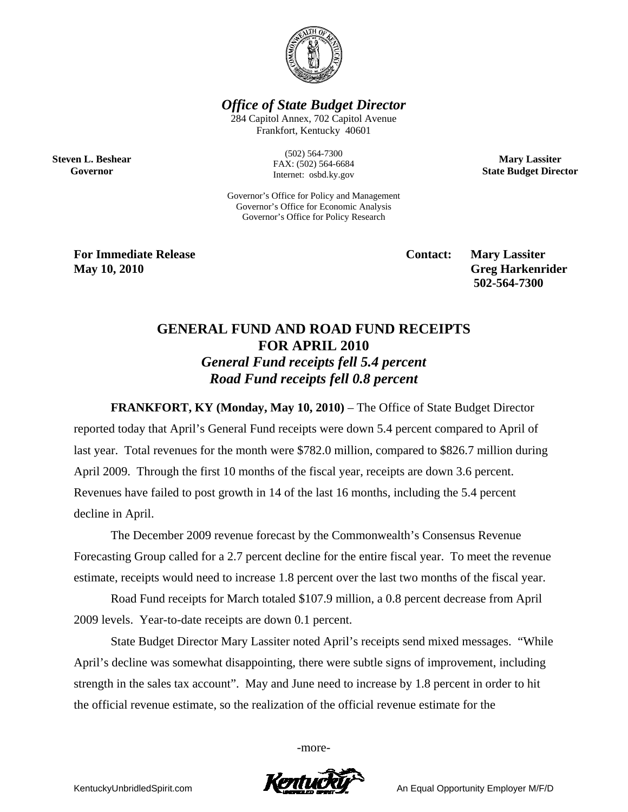

*Office of State Budget Director* 

284 Capitol Annex, 702 Capitol Avenue Frankfort, Kentucky 40601

**Steven L. Beshear Governor** 

(502) 564-7300 FAX: (502) 564-6684 Internet: osbd.ky.gov

Governor's Office for Policy and Management Governor's Office for Economic Analysis Governor's Office for Policy Research

**For Immediate Release Service Service Service Contact: Mary Lassiter May 10, 2010 Greg Harkenrider Greg Harkenrider Greg Harkenrider Greg Harkenrider 502-564-7300** 

**Mary Lassiter State Budget Director** 

## **GENERAL FUND AND ROAD FUND RECEIPTS FOR APRIL 2010**  *General Fund receipts fell 5.4 percent Road Fund receipts fell 0.8 percent*

**FRANKFORT, KY (Monday, May 10, 2010)** – The Office of State Budget Director reported today that April's General Fund receipts were down 5.4 percent compared to April of last year. Total revenues for the month were \$782.0 million, compared to \$826.7 million during April 2009. Through the first 10 months of the fiscal year, receipts are down 3.6 percent. Revenues have failed to post growth in 14 of the last 16 months, including the 5.4 percent decline in April.

The December 2009 revenue forecast by the Commonwealth's Consensus Revenue Forecasting Group called for a 2.7 percent decline for the entire fiscal year. To meet the revenue estimate, receipts would need to increase 1.8 percent over the last two months of the fiscal year.

Road Fund receipts for March totaled \$107.9 million, a 0.8 percent decrease from April 2009 levels. Year-to-date receipts are down 0.1 percent.

State Budget Director Mary Lassiter noted April's receipts send mixed messages. "While April's decline was somewhat disappointing, there were subtle signs of improvement, including strength in the sales tax account". May and June need to increase by 1.8 percent in order to hit the official revenue estimate, so the realization of the official revenue estimate for the

-more-



KentuckyUnbridledSpirit.com **An Equal Opportunity Employer M/F/D**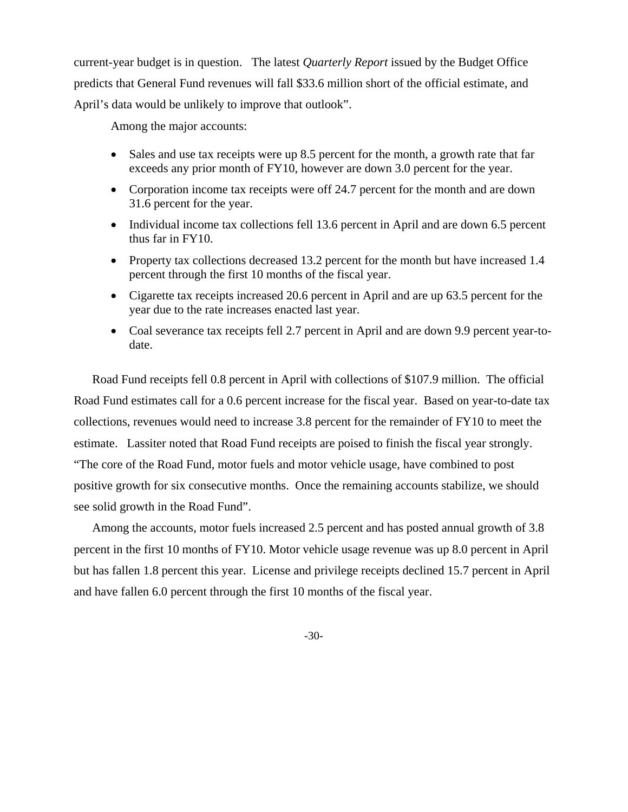current-year budget is in question. The latest *Quarterly Report* issued by the Budget Office predicts that General Fund revenues will fall \$33.6 million short of the official estimate, and April's data would be unlikely to improve that outlook".

Among the major accounts:

- Sales and use tax receipts were up 8.5 percent for the month, a growth rate that far exceeds any prior month of FY10, however are down 3.0 percent for the year.
- Corporation income tax receipts were off 24.7 percent for the month and are down 31.6 percent for the year.
- Individual income tax collections fell 13.6 percent in April and are down 6.5 percent thus far in FY10.
- Property tax collections decreased 13.2 percent for the month but have increased 1.4 percent through the first 10 months of the fiscal year.
- Cigarette tax receipts increased 20.6 percent in April and are up 63.5 percent for the year due to the rate increases enacted last year.
- Coal severance tax receipts fell 2.7 percent in April and are down 9.9 percent year-todate.

Road Fund receipts fell 0.8 percent in April with collections of \$107.9 million. The official Road Fund estimates call for a 0.6 percent increase for the fiscal year. Based on year-to-date tax collections, revenues would need to increase 3.8 percent for the remainder of FY10 to meet the estimate. Lassiter noted that Road Fund receipts are poised to finish the fiscal year strongly. "The core of the Road Fund, motor fuels and motor vehicle usage, have combined to post positive growth for six consecutive months. Once the remaining accounts stabilize, we should see solid growth in the Road Fund".

Among the accounts, motor fuels increased 2.5 percent and has posted annual growth of 3.8 percent in the first 10 months of FY10. Motor vehicle usage revenue was up 8.0 percent in April but has fallen 1.8 percent this year. License and privilege receipts declined 15.7 percent in April and have fallen 6.0 percent through the first 10 months of the fiscal year.

-30-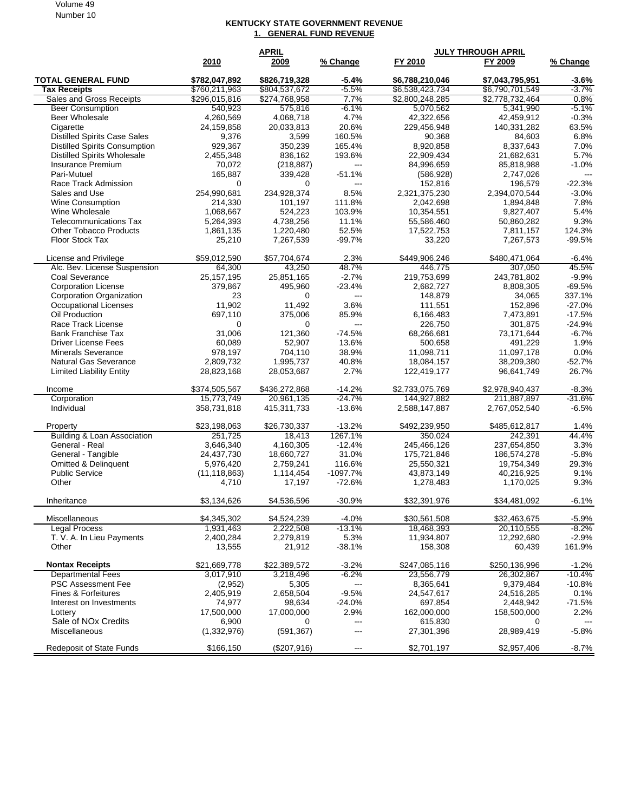## Volume 49 Number 10

## **KENTUCKY STATE GOVERNMENT REVENUE 1. GENERAL FUND REVENUE**

|                                                  | <b>APRIL</b>         |                 |                                   | <b>JULY THROUGH APRIL</b> |                 |          |  |
|--------------------------------------------------|----------------------|-----------------|-----------------------------------|---------------------------|-----------------|----------|--|
|                                                  | 2010                 | 2009            | % Change                          | FY 2010                   | FY 2009         | % Change |  |
| <b>TOTAL GENERAL FUND</b>                        | \$782,047,892        | \$826,719,328   | $-5.4%$                           | \$6,788,210,046           | \$7,043,795,951 | $-3.6%$  |  |
| <b>Tax Receipts</b>                              | \$760,211,963        | \$804,537,672   | $-5.5%$                           | \$6,538,423,734           | \$6,790,701,549 | $-3.7%$  |  |
| <b>Sales and Gross Receipts</b>                  | \$296,015,816        | \$274,768,958   | 7.7%                              | \$2,800,248,285           | \$2,778,732,464 | 0.8%     |  |
| <b>Beer Consumption</b>                          | 540,923              | 575,816         | $-6.1%$                           | 5,070,562                 | 5,341,990       | $-5.1\%$ |  |
| Beer Wholesale                                   | 4,260,569            | 4,068,718       | 4.7%                              | 42,322,656                | 42,459,912      | $-0.3%$  |  |
| Cigarette                                        | 24,159,858           | 20,033,813      | 20.6%                             | 229,456,948               | 140,331,282     | 63.5%    |  |
| <b>Distilled Spirits Case Sales</b>              | 9,376                | 3,599           | 160.5%                            | 90,368                    | 84,603          | 6.8%     |  |
| <b>Distilled Spirits Consumption</b>             | 929,367              | 350,239         | 165.4%                            | 8,920,858                 | 8,337,643       | 7.0%     |  |
| <b>Distilled Spirits Wholesale</b>               | 2,455,348            | 836,162         | 193.6%                            | 22,909,434                | 21,682,631      | 5.7%     |  |
| Insurance Premium                                | 70,072               | (218, 887)      | $\overline{a}$                    | 84,996,659                | 85,818,988      | $-1.0%$  |  |
| Pari-Mutuel                                      | 165,887              | 339,428         | $-51.1%$                          | (586, 928)                | 2,747,026       | $---$    |  |
| Race Track Admission                             | 0                    | 0               | $\overline{a}$                    | 152,816                   | 196,579         | $-22.3%$ |  |
| Sales and Use                                    | 254,990,681          | 234.928.374     | 8.5%                              | 2,321,375,230             | 2,394,070,544   | $-3.0\%$ |  |
| <b>Wine Consumption</b>                          | 214,330              | 101,197         | 111.8%                            | 2,042,698                 | 1,894,848       | 7.8%     |  |
| Wine Wholesale                                   | 1,068,667            | 524,223         | 103.9%                            | 10,354,551                | 9,827,407       | 5.4%     |  |
| <b>Telecommunications Tax</b>                    | 5,264,393            | 4,738,256       | 11.1%                             | 55,586,460                | 50,860,282      | 9.3%     |  |
| <b>Other Tobacco Products</b>                    | 1,861,135            | 1,220,480       | 52.5%                             | 17,522,753                | 7,811,157       | 124.3%   |  |
| <b>Floor Stock Tax</b>                           | 25,210               | 7,267,539       | $-99.7%$                          | 33,220                    | 7,267,573       | $-99.5%$ |  |
| License and Privilege                            | \$59,012,590         | \$57,704,674    | 2.3%                              | \$449,906,246             | \$480,471,064   | -6.4%    |  |
| Alc. Bev. License Suspension                     | 64,300               | 43,250          | 48.7%                             | 446.775                   | 307,050         | 45.5%    |  |
| Coal Severance                                   | 25, 157, 195         | 25,851,165      | $-2.7%$                           | 219,753,699               | 243,781,802     | $-9.9%$  |  |
| <b>Corporation License</b>                       | 379,867              | 495,960         | $-23.4%$                          | 2,682,727                 | 8,808,305       | $-69.5%$ |  |
| <b>Corporation Organization</b>                  | 23                   | 0               | $\overline{a}$                    | 148,879                   | 34,065          | 337.1%   |  |
| <b>Occupational Licenses</b>                     | 11,902               | 11.492          | 3.6%                              | 111,551                   | 152,896         | $-27.0%$ |  |
| Oil Production                                   | 697,110              | 375,006         | 85.9%                             | 6,166,483                 | 7,473,891       | $-17.5%$ |  |
| Race Track License                               | $\Omega$             | $\mathbf 0$     | $\overline{\phantom{a}}$          | 226,750                   | 301,875         | $-24.9%$ |  |
| <b>Bank Franchise Tax</b>                        | 31,006               | 121,360         | $-74.5%$                          | 68,266,681                | 73,171,644      | -6.7%    |  |
| <b>Driver License Fees</b>                       | 60,089               | 52,907          | 13.6%                             | 500.658                   | 491,229         | 1.9%     |  |
| <b>Minerals Severance</b>                        | 978,197              | 704,110         | 38.9%                             | 11,098,711                | 11,097,178      | 0.0%     |  |
| Natural Gas Severance                            | 2,809,732            | 1,995,737       | 40.8%                             | 18,084,157                | 38,209,380      | $-52.7%$ |  |
| <b>Limited Liability Entity</b>                  | 28,823,168           | 28,053,687      | 2.7%                              | 122,419,177               | 96,641,749      | 26.7%    |  |
| Income                                           | \$374,505,567        | \$436,272,868   | $-14.2%$                          | \$2,733,075,769           | \$2,978,940,437 | -8.3%    |  |
| Corporation                                      | 15,773,749           | 20,961,135      | $-24.7%$                          | 144,927,882               | 211,887,897     | $-31.6%$ |  |
| Individual                                       | 358,731,818          | 415,311,733     | $-13.6%$                          | 2,588,147,887             | 2,767,052,540   | $-6.5%$  |  |
| Property                                         | \$23,198,063         | \$26,730,337    | $-13.2%$                          | \$492,239,950             | \$485,612,817   | 1.4%     |  |
| Building & Loan Association                      | 251,725              | 18,413          | 1267.1%                           | 350,024                   | 242,391         | 44.4%    |  |
| General - Real                                   | 3,646,340            | 4,160,305       | $-12.4%$                          | 245,466,126               | 237,654,850     | 3.3%     |  |
| General - Tangible                               | 24,437,730           | 18,660,727      | 31.0%                             | 175,721,846               | 186,574,278     | $-5.8%$  |  |
| <b>Omitted &amp; Delinquent</b>                  | 5,976,420            | 2,759,241       | 116.6%                            | 25,550,321                | 19,754,349      | 29.3%    |  |
| <b>Public Service</b>                            | (11, 118, 863)       | 1,114,454       | $-1097.7%$                        | 43,873,149                | 40,216,925      | 9.1%     |  |
| Other                                            | 4,710                | 17,197          | $-72.6%$                          | 1,278,483                 | 1,170,025       | 9.3%     |  |
| Inheritance                                      | \$3,134,626          | \$4,536,596     | $-30.9%$                          | \$32,391,976              | \$34,481,092    | -6.1%    |  |
| Miscellaneous                                    | \$4,345,302          | \$4,524,239     | $-4.0%$                           | \$30,561,508              | \$32,463,675    | $-5.9%$  |  |
| Legal Process                                    | 1,931,463            | 2,222,508       | $-13.1%$                          | 18,468,393                | 20,110,555      | -8.2%    |  |
| T. V. A. In Lieu Payments                        | 2,400,284            | 2,279,819       | 5.3%                              | 11,934,807                | 12,292,680      | $-2.9%$  |  |
| Other                                            | 13,555               | 21,912          | $-38.1%$                          | 158,308                   | 60,439          | 161.9%   |  |
| <b>Nontax Receipts</b>                           | \$21,669,778         | \$22,389,572    | $-3.2%$                           | \$247,085,116             | \$250,136,996   | $-1.2%$  |  |
| <b>Departmental Fees</b>                         | 3,017,910            | 3,218,496       | $-6.2%$                           | 23,556,779                | 26,302,867      | $-10.4%$ |  |
| PSC Assessment Fee                               | (2,952)              | 5,305           | $\overline{\phantom{a}}$          | 8,365,641                 | 9,379,484       | $-10.8%$ |  |
| Fines & Forfeitures                              | 2,405,919            | 2,658,504       | $-9.5%$                           | 24,547,617                | 24,516,285      | 0.1%     |  |
| Interest on Investments                          | 74,977               | 98,634          | $-24.0%$                          | 697,854                   | 2,448,942       | $-71.5%$ |  |
| Lottery                                          | 17,500,000           | 17,000,000      | 2.9%                              | 162,000,000               | 158,500,000     | $2.2\%$  |  |
| Sale of NO <sub>x</sub> Credits<br>Miscellaneous | 6,900<br>(1,332,976) | 0<br>(591, 367) | $\hspace{0.05cm} \ldots$<br>$---$ | 615,830<br>27,301,396     | 0<br>28,989,419 | $-5.8%$  |  |
| <b>Redeposit of State Funds</b>                  | \$166,150            | (\$207,916)     | $---$                             | \$2,701,197               | \$2,957,406     | $-8.7\%$ |  |
|                                                  |                      |                 |                                   |                           |                 |          |  |